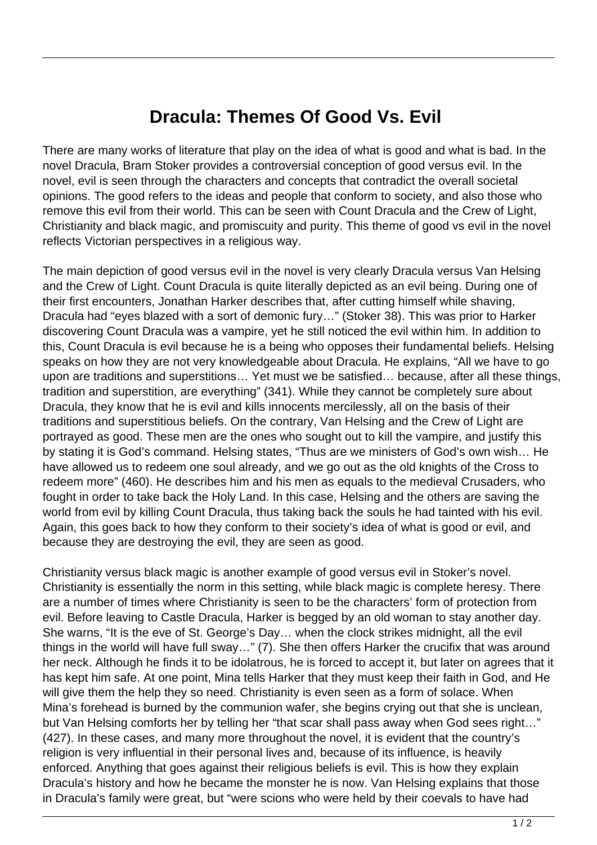## **Dracula: Themes Of Good Vs. Evil**

There are many works of literature that play on the idea of what is good and what is bad. In the novel Dracula, Bram Stoker provides a controversial conception of good versus evil. In the novel, evil is seen through the characters and concepts that contradict the overall societal opinions. The good refers to the ideas and people that conform to society, and also those who remove this evil from their world. This can be seen with Count Dracula and the Crew of Light, Christianity and black magic, and promiscuity and purity. This theme of good vs evil in the novel reflects Victorian perspectives in a religious way.

The main depiction of good versus evil in the novel is very clearly Dracula versus Van Helsing and the Crew of Light. Count Dracula is quite literally depicted as an evil being. During one of their first encounters, Jonathan Harker describes that, after cutting himself while shaving, Dracula had "eyes blazed with a sort of demonic fury…" (Stoker 38). This was prior to Harker discovering Count Dracula was a vampire, yet he still noticed the evil within him. In addition to this, Count Dracula is evil because he is a being who opposes their fundamental beliefs. Helsing speaks on how they are not very knowledgeable about Dracula. He explains, "All we have to go upon are traditions and superstitions… Yet must we be satisfied… because, after all these things, tradition and superstition, are everything" (341). While they cannot be completely sure about Dracula, they know that he is evil and kills innocents mercilessly, all on the basis of their traditions and superstitious beliefs. On the contrary, Van Helsing and the Crew of Light are portrayed as good. These men are the ones who sought out to kill the vampire, and justify this by stating it is God's command. Helsing states, "Thus are we ministers of God's own wish… He have allowed us to redeem one soul already, and we go out as the old knights of the Cross to redeem more" (460). He describes him and his men as equals to the medieval Crusaders, who fought in order to take back the Holy Land. In this case, Helsing and the others are saving the world from evil by killing Count Dracula, thus taking back the souls he had tainted with his evil. Again, this goes back to how they conform to their society's idea of what is good or evil, and because they are destroying the evil, they are seen as good.

Christianity versus black magic is another example of good versus evil in Stoker's novel. Christianity is essentially the norm in this setting, while black magic is complete heresy. There are a number of times where Christianity is seen to be the characters' form of protection from evil. Before leaving to Castle Dracula, Harker is begged by an old woman to stay another day. She warns, "It is the eve of St. George's Day… when the clock strikes midnight, all the evil things in the world will have full sway…" (7). She then offers Harker the crucifix that was around her neck. Although he finds it to be idolatrous, he is forced to accept it, but later on agrees that it has kept him safe. At one point, Mina tells Harker that they must keep their faith in God, and He will give them the help they so need. Christianity is even seen as a form of solace. When Mina's forehead is burned by the communion wafer, she begins crying out that she is unclean, but Van Helsing comforts her by telling her "that scar shall pass away when God sees right..." (427). In these cases, and many more throughout the novel, it is evident that the country's religion is very influential in their personal lives and, because of its influence, is heavily enforced. Anything that goes against their religious beliefs is evil. This is how they explain Dracula's history and how he became the monster he is now. Van Helsing explains that those in Dracula's family were great, but "were scions who were held by their coevals to have had